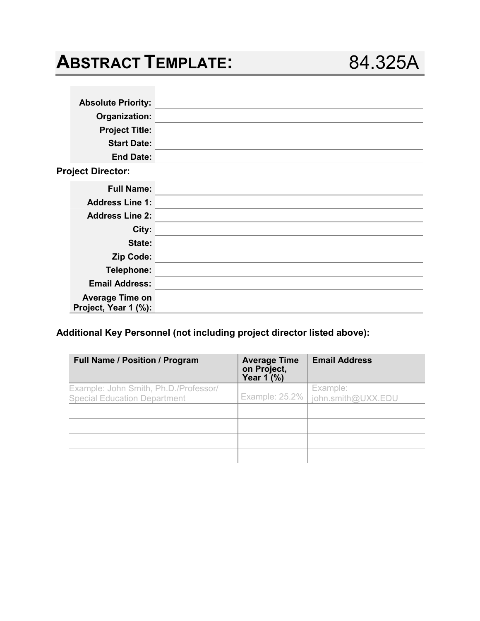| <b>ABSTRACT TEMPLATE:</b>                                               |  |                     | 84.325A              |
|-------------------------------------------------------------------------|--|---------------------|----------------------|
|                                                                         |  |                     |                      |
| <b>Absolute Priority:</b>                                               |  |                     |                      |
| Organization:                                                           |  |                     |                      |
| <b>Project Title:</b>                                                   |  |                     |                      |
| <b>Start Date:</b>                                                      |  |                     |                      |
| <b>End Date:</b>                                                        |  |                     |                      |
| <b>Project Director:</b>                                                |  |                     |                      |
| <b>Full Name:</b>                                                       |  |                     |                      |
| <b>Address Line 1:</b>                                                  |  |                     |                      |
| <b>Address Line 2:</b>                                                  |  |                     |                      |
| City:                                                                   |  |                     |                      |
| State:                                                                  |  |                     |                      |
| Zip Code:                                                               |  |                     |                      |
| Telephone:                                                              |  |                     |                      |
| <b>Email Address:</b>                                                   |  |                     |                      |
| <b>Average Time on</b><br>Project, Year 1 (%):                          |  |                     |                      |
| Additional Key Personnel (not including project director listed above): |  |                     |                      |
| Full Name / Position / Program                                          |  | <b>Average Time</b> | <b>Email Address</b> |

# **Additional Key Personnel (not including project director listed above):**

| <b>Full Name / Position / Program</b>                                        | <b>Average Time</b><br>on Project,<br>Year $1'(%)$ | <b>Email Address</b>           |
|------------------------------------------------------------------------------|----------------------------------------------------|--------------------------------|
| Example: John Smith, Ph.D./Professor/<br><b>Special Education Department</b> | <b>Example: 25.2%</b>                              | Example:<br>john.smith@UXX.EDU |
|                                                                              |                                                    |                                |
|                                                                              |                                                    |                                |
|                                                                              |                                                    |                                |
|                                                                              |                                                    |                                |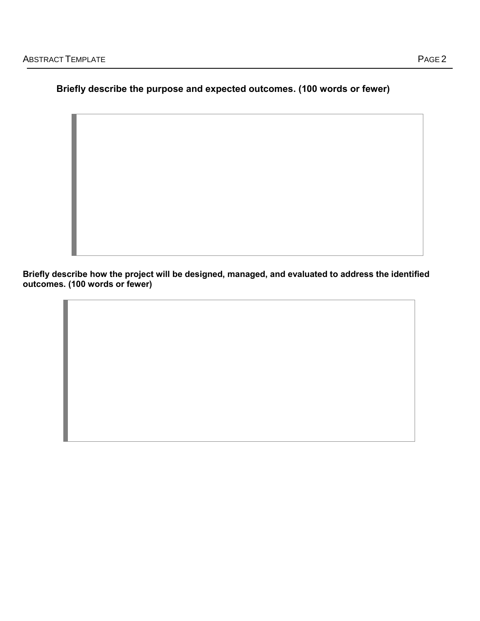# **Briefly describe the purpose and expected outcomes. (100 words or fewer)**

**Briefly describe how the project will be designed, managed, and evaluated to address the identified outcomes. (100 words or fewer)**